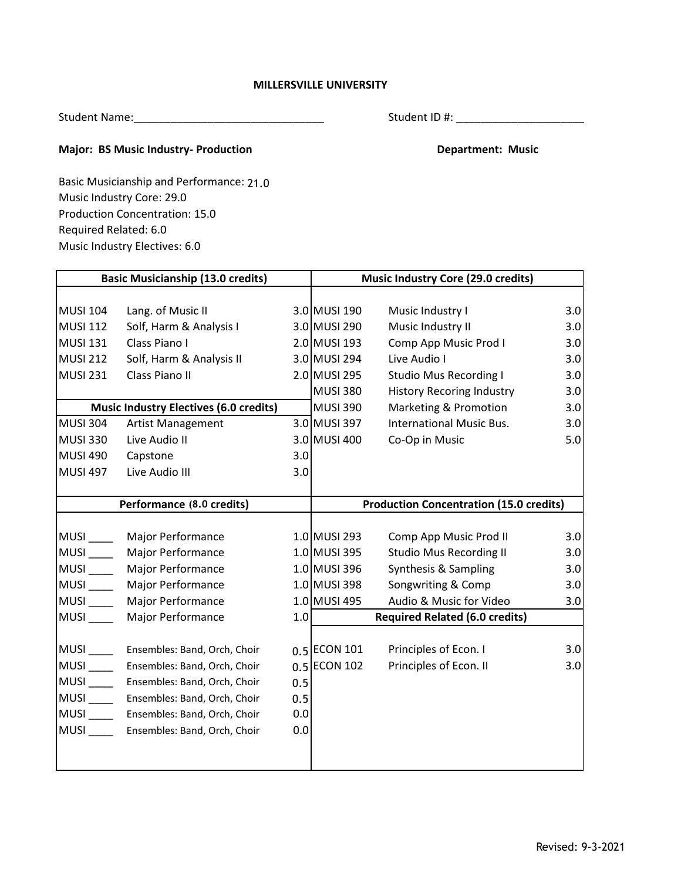## **MILLERSVILLE UNIVERSITY**

Student Name:\_\_\_\_\_\_\_\_\_\_\_\_\_\_\_\_\_\_\_\_\_\_\_\_\_\_\_\_\_\_\_

Student ID #: \_\_\_\_\_\_\_\_\_\_\_\_\_\_\_\_\_\_\_\_\_

## **Major: BS Music Industry- Production Community Community Community Department: Music**

Music Industry Core: 29.0 Required Related: 6.0 Production Concentration: 15.0 Basic Musicianship and Performance: 21.0 Music Industry Electives: 6.0

| <b>Basic Musicianship (13.0 credits)</b>        |                                               |     | Music Industry Core (29.0 credits)             |                                                        |            |
|-------------------------------------------------|-----------------------------------------------|-----|------------------------------------------------|--------------------------------------------------------|------------|
| <b>MUSI 104</b>                                 | Lang. of Music II                             |     | 3.0 MUSI 190                                   | Music Industry I                                       | 3.0        |
| <b>MUSI 112</b>                                 | Solf, Harm & Analysis I                       |     | 3.0 MUSI 290                                   | Music Industry II                                      | 3.0        |
| <b>MUSI 131</b>                                 | Class Piano I                                 |     | 2.0 MUSI 193                                   | Comp App Music Prod I                                  | 3.0        |
| <b>MUSI 212</b>                                 | Solf, Harm & Analysis II                      |     | 3.0 MUSI 294                                   | Live Audio I                                           | 3.0        |
| <b>MUSI 231</b>                                 | Class Piano II                                |     | 2.0 MUSI 295                                   | <b>Studio Mus Recording I</b>                          | 3.0        |
|                                                 |                                               |     | <b>MUSI 380</b>                                | <b>History Recoring Industry</b>                       | 3.0        |
|                                                 | <b>Music Industry Electives (6.0 credits)</b> |     | <b>MUSI 390</b>                                | Marketing & Promotion                                  | 3.0        |
| <b>MUSI 304</b>                                 | Artist Management                             |     | 3.0 MUSI 397                                   | <b>International Music Bus.</b>                        | 3.0        |
| <b>MUSI 330</b>                                 | Live Audio II                                 |     | 3.0 MUSI 400                                   | Co-Op in Music                                         | 5.0        |
| <b>MUSI 490</b>                                 | Capstone                                      | 3.0 |                                                |                                                        |            |
| <b>MUSI 497</b>                                 | Live Audio III                                | 3.0 |                                                |                                                        |            |
| Performance (8.0 credits)                       |                                               |     | <b>Production Concentration (15.0 credits)</b> |                                                        |            |
|                                                 |                                               |     |                                                |                                                        |            |
| MUSI <sub>____</sub><br>$MUSI$ <sub>_____</sub> | Major Performance                             |     | 1.0 MUSI 293<br>1.0 MUSI 395                   | Comp App Music Prod II                                 | 3.0        |
| MUSI <sub>_____</sub>                           | Major Performance<br>Major Performance        |     | 1.0 MUSI 396                                   | <b>Studio Mus Recording II</b><br>Synthesis & Sampling | 3.0<br>3.0 |
| $MUSI$ <sub>____</sub>                          | Major Performance                             |     | 1.0 MUSI 398                                   | Songwriting & Comp                                     | 3.0        |
| MUSI <sub>____</sub>                            | Major Performance                             |     | 1.0 MUSI 495                                   | Audio & Music for Video                                | 3.0        |
| $MUSI$ <sub>____</sub>                          | Major Performance                             | 1.0 |                                                | <b>Required Related (6.0 credits)</b>                  |            |
|                                                 |                                               |     |                                                |                                                        |            |
| <b>MUSI</b>                                     | Ensembles: Band, Orch, Choir                  |     | 0.5 ECON 101                                   | Principles of Econ. I                                  | 3.0        |
| MUSI <sub>____</sub>                            | Ensembles: Band, Orch, Choir                  |     | 0.5 ECON 102                                   | Principles of Econ. II                                 | 3.0        |
| <b>MUSI</b>                                     | Ensembles: Band, Orch, Choir                  | 0.5 |                                                |                                                        |            |
| <b>MUSI</b>                                     | Ensembles: Band, Orch, Choir                  | 0.5 |                                                |                                                        |            |
| MUSI <sub>____</sub>                            | Ensembles: Band, Orch, Choir                  | 0.0 |                                                |                                                        |            |
| $MUSI$ <sub>____</sub>                          | Ensembles: Band, Orch, Choir                  | 0.0 |                                                |                                                        |            |
|                                                 |                                               |     |                                                |                                                        |            |